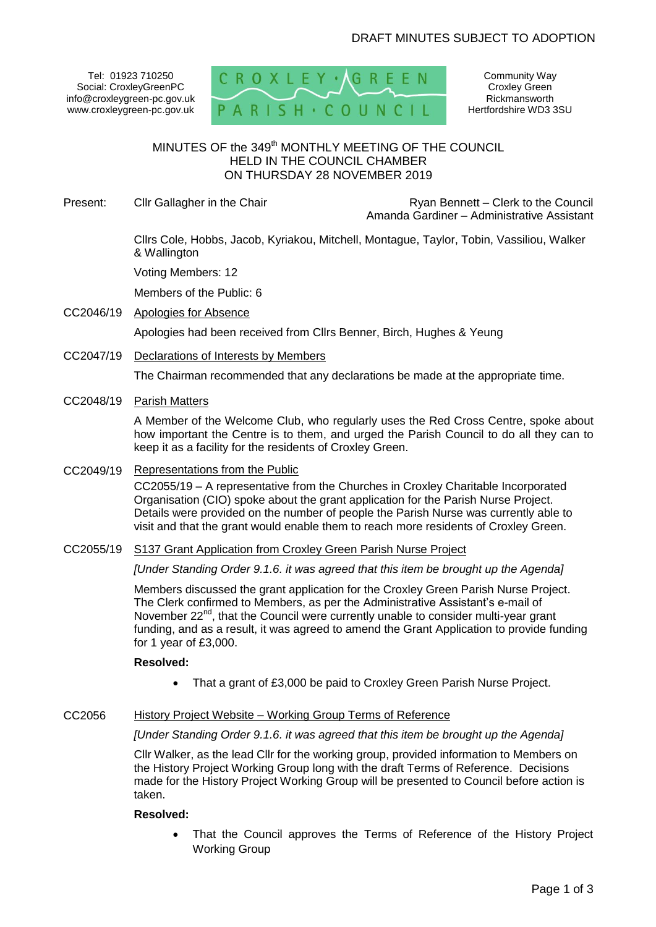Tel: 01923 710250 Social: CroxleyGreenPC info@croxleygreen-pc.gov.uk www.croxleygreen-pc.gov.uk



Community Way Croxley Green Rickmansworth Hertfordshire WD3 3SU

# MINUTES OF the 349<sup>th</sup> MONTHLY MEETING OF THE COUNCIL HELD IN THE COUNCIL CHAMBER ON THURSDAY 28 NOVEMBER 2019

Present: Cllr Gallagher in the Chair Ryan Bennett – Clerk to the Council Amanda Gardiner – Administrative Assistant

> Cllrs Cole, Hobbs, Jacob, Kyriakou, Mitchell, Montague, Taylor, Tobin, Vassiliou, Walker & Wallington

Voting Members: 12

Members of the Public: 6

CC2046/19 Apologies for Absence

Apologies had been received from Cllrs Benner, Birch, Hughes & Yeung

CC2047/19 Declarations of Interests by Members

The Chairman recommended that any declarations be made at the appropriate time.

CC2048/19 Parish Matters

A Member of the Welcome Club, who regularly uses the Red Cross Centre, spoke about how important the Centre is to them, and urged the Parish Council to do all they can to keep it as a facility for the residents of Croxley Green.

CC2049/19 Representations from the Public

CC2055/19 – A representative from the Churches in Croxley Charitable Incorporated Organisation (CIO) spoke about the grant application for the Parish Nurse Project. Details were provided on the number of people the Parish Nurse was currently able to visit and that the grant would enable them to reach more residents of Croxley Green.

CC2055/19 S137 Grant Application from Croxley Green Parish Nurse Project

*[Under Standing Order 9.1.6. it was agreed that this item be brought up the Agenda]*

Members discussed the grant application for the Croxley Green Parish Nurse Project. The Clerk confirmed to Members, as per the Administrative Assistant's e-mail of November 22<sup>nd</sup>, that the Council were currently unable to consider multi-year grant funding, and as a result, it was agreed to amend the Grant Application to provide funding for 1 year of £3,000.

## **Resolved:**

- That a grant of £3,000 be paid to Croxley Green Parish Nurse Project.
- CC2056 History Project Website Working Group Terms of Reference

#### *[Under Standing Order 9.1.6. it was agreed that this item be brought up the Agenda]*

Cllr Walker, as the lead Cllr for the working group, provided information to Members on the History Project Working Group long with the draft Terms of Reference. Decisions made for the History Project Working Group will be presented to Council before action is taken.

#### **Resolved:**

 That the Council approves the Terms of Reference of the History Project Working Group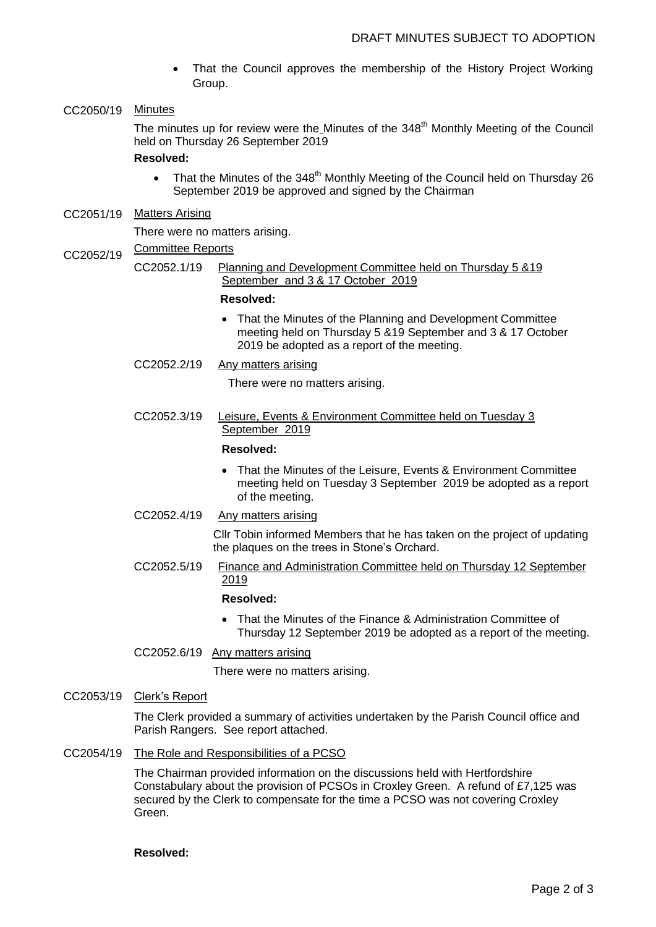- That the Council approves the membership of the History Project Working Group.
- CC2050/19 Minutes

The minutes up for review were the Minutes of the 348<sup>th</sup> Monthly Meeting of the Council held on Thursday 26 September 2019

## **Resolved:**

- That the Minutes of the 348<sup>th</sup> Monthly Meeting of the Council held on Thursday 26 September 2019 be approved and signed by the Chairman
- CC2051/19 Matters Arising

There were no matters arising.

- CC2052/19 Committee Reports
	- CC2052.1/19 Planning and Development Committee held on Thursday 5 &19 September and 3 & 17 October 2019

#### **Resolved:**

- That the Minutes of the Planning and Development Committee meeting held on Thursday 5 &19 September and 3 & 17 October 2019 be adopted as a report of the meeting.
- CC2052.2/19 Any matters arising

There were no matters arising.

CC2052.3/19 Leisure, Events & Environment Committee held on Tuesday 3 September 2019

#### **Resolved:**

- That the Minutes of the Leisure, Events & Environment Committee meeting held on Tuesday 3 September 2019 be adopted as a report of the meeting.
- CC2052.4/19 Any matters arising

Cllr Tobin informed Members that he has taken on the project of updating the plaques on the trees in Stone's Orchard.

CC2052.5/19 Finance and Administration Committee held on Thursday 12 September 2019

## **Resolved:**

 That the Minutes of the Finance & Administration Committee of Thursday 12 September 2019 be adopted as a report of the meeting.

CC2052.6/19 Any matters arising

There were no matters arising.

CC2053/19 Clerk's Report

The Clerk provided a summary of activities undertaken by the Parish Council office and Parish Rangers. See report attached.

CC2054/19 The Role and Responsibilities of a PCSO

The Chairman provided information on the discussions held with Hertfordshire Constabulary about the provision of PCSOs in Croxley Green. A refund of £7,125 was secured by the Clerk to compensate for the time a PCSO was not covering Croxley Green.